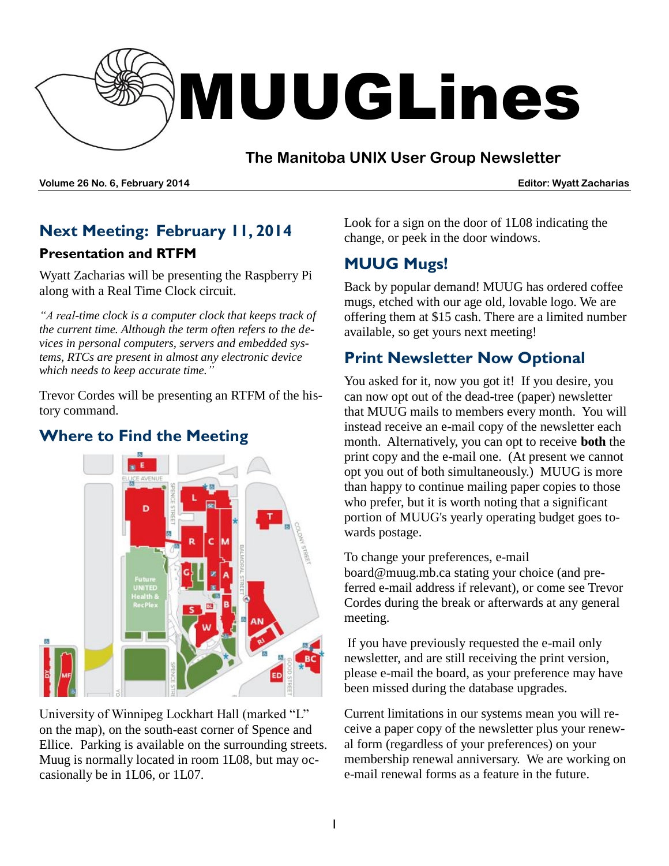

## **The Manitoba UNIX User Group Newsletter**

**Volume 26 No. 6, February 2014 Editor: Wyatt Zacharias**

# **Next Meeting: February 11, 2014 Presentation and RTFM**

Wyatt Zacharias will be presenting the Raspberry Pi along with a Real Time Clock circuit.

*"A real-time clock is a computer clock that keeps track of the current time. Although the term often refers to the devices in personal computers, servers and embedded systems, RTCs are present in almost any electronic device which needs to keep accurate time."*

Trevor Cordes will be presenting an RTFM of the history command.

## **Where to Find the Meeting**



University of Winnipeg Lockhart Hall (marked "L" on the map), on the south-east corner of Spence and Ellice. Parking is available on the surrounding streets. Muug is normally located in room 1L08, but may occasionally be in 1L06, or 1L07.

Look for a sign on the door of 1L08 indicating the change, or peek in the door windows.

# **MUUG Mugs!**

Back by popular demand! MUUG has ordered coffee mugs, etched with our age old, lovable logo. We are offering them at \$15 cash. There are a limited number available, so get yours next meeting!

# **Print Newsletter Now Optional**

You asked for it, now you got it! If you desire, you can now opt out of the dead-tree (paper) newsletter that MUUG mails to members every month. You will instead receive an e-mail copy of the newsletter each month. Alternatively, you can opt to receive **both** the print copy and the e-mail one. (At present we cannot opt you out of both simultaneously.) MUUG is more than happy to continue mailing paper copies to those who prefer, but it is worth noting that a significant portion of MUUG's yearly operating budget goes towards postage.

To change your preferences, e-mail [board@muug.mb.ca](mailto:board@muug.mb.ca) stating your choice (and preferred e-mail address if relevant), or come see Trevor Cordes during the break or afterwards at any general meeting.

If you have previously requested the e-mail only newsletter, and are still receiving the print version, please e-mail the board, as your preference may have been missed during the database upgrades.

Current limitations in our systems mean you will receive a paper copy of the newsletter plus your renewal form (regardless of your preferences) on your membership renewal anniversary. We are working on e-mail renewal forms as a feature in the future.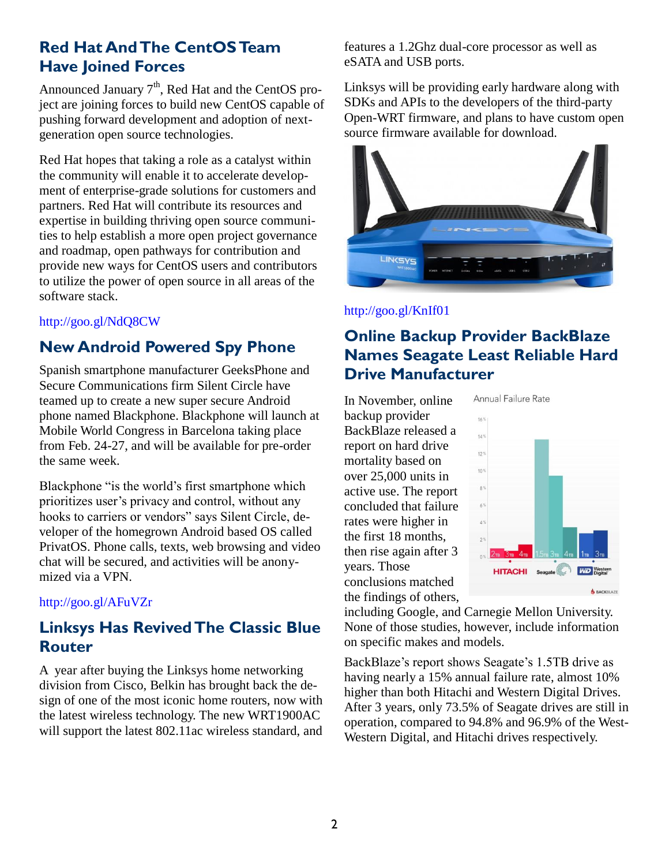## **Red Hat And The CentOS Team Have Joined Forces**

Announced January  $7<sup>th</sup>$ , Red Hat and the CentOS project are joining forces to build new CentOS capable of pushing forward development and adoption of nextgeneration open source technologies.

Red Hat hopes that taking a role as a catalyst within the community will enable it to accelerate development of enterprise-grade solutions for customers and partners. Red Hat will contribute its resources and expertise in building thriving open source communities to help establish a more open project governance and roadmap, open pathways for contribution and provide new ways for CentOS users and contributors to utilize the power of open source in all areas of the software stack.

## <http://goo.gl/NdQ8CW>

# **New Android Powered Spy Phone**

Spanish smartphone manufacturer GeeksPhone and Secure Communications firm Silent Circle have teamed up to create a new super secure Android phone named Blackphone. Blackphone will launch at Mobile World Congress in Barcelona taking place from Feb. 24-27, and will be available for pre-order the same week.

Blackphone "is the world's first smartphone which prioritizes user's privacy and control, without any hooks to carriers or vendors" says Silent Circle, developer of the homegrown Android based OS called PrivatOS. Phone calls, texts, web browsing and video chat will be secured, and activities will be anonymized via a VPN.

## <http://goo.gl/AFuVZr>

## **Linksys Has Revived The Classic Blue Router**

A year after buying the Linksys home networking division from Cisco, Belkin has brought back the design of one of the most iconic home routers, now with the latest wireless technology. The new WRT1900AC will support the latest 802.11ac wireless standard, and features a 1.2Ghz dual-core processor as well as eSATA and USB ports.

Linksys will be providing early hardware along with SDKs and APIs to the developers of the third-party Open-WRT firmware, and plans to have custom open source firmware available for download.



## <http://goo.gl/KnIf01>

# **Online Backup Provider BackBlaze Names Seagate Least Reliable Hard Drive Manufacturer**

In November, online backup provider BackBlaze released a report on hard drive mortality based on over 25,000 units in active use. The report concluded that failure rates were higher in the first 18 months, then rise again after 3 years. Those conclusions matched the findings of others,



including Google, and Carnegie Mellon University. None of those studies, however, include information on specific makes and models.

BackBlaze's report shows Seagate's 1.5TB drive as having nearly a 15% annual failure rate, almost 10% higher than both Hitachi and Western Digital Drives. After 3 years, only 73.5% of Seagate drives are still in operation, compared to 94.8% and 96.9% of the West-Western Digital, and Hitachi drives respectively.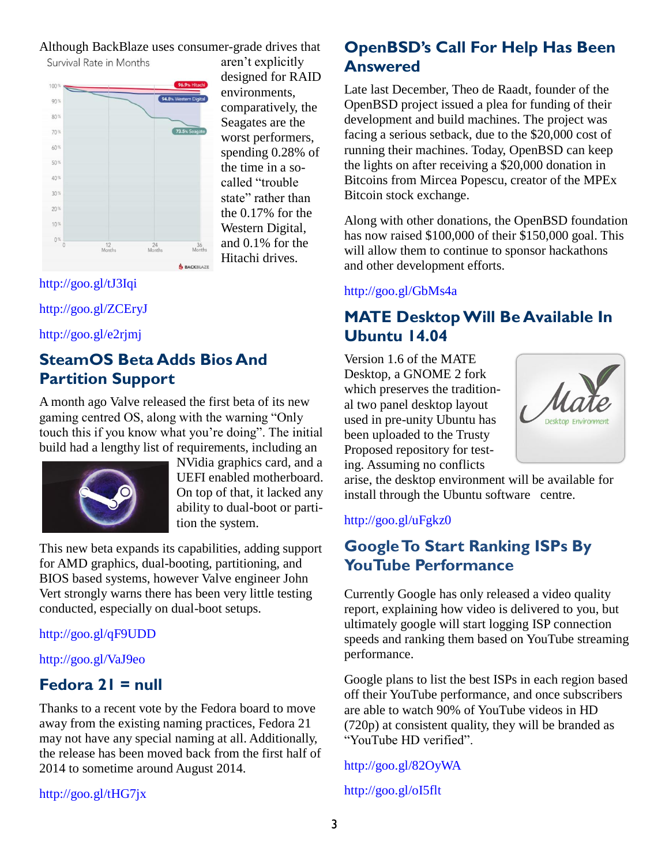Although BackBlaze uses consumer-grade drives that



aren't explicitly designed for RAID environments, comparatively, the Seagates are the worst performers, spending 0.28% of the time in a socalled "trouble state" rather than the 0.17% for the Western Digital, and 0.1% for the Hitachi drives.

## <http://goo.gl/tJ3Iqi>

<http://goo.gl/ZCEryJ>

<http://goo.gl/e2rjmj>

# **SteamOS Beta Adds Bios And Partition Support**

A month ago Valve released the first beta of its new gaming centred OS, along with the warning "Only touch this if you know what you're doing". The initial build had a lengthy list of requirements, including an



NVidia graphics card, and a UEFI enabled motherboard. On top of that, it lacked any ability to dual-boot or partition the system.

This new beta expands its capabilities, adding support for AMD graphics, dual-booting, partitioning, and BIOS based systems, however Valve engineer John Vert strongly warns there has been very little testing conducted, especially on dual-boot setups.

## <http://goo.gl/qF9UDD>

## <http://goo.gl/VaJ9eo>

## **Fedora 21 = null**

Thanks to a recent vote by the Fedora board to move away from the existing naming practices, Fedora 21 may not have any special naming at all. Additionally, the release has been moved back from the first half of 2014 to sometime around August 2014.

<http://goo.gl/tHG7jx>

# **OpenBSD's Call For Help Has Been Answered**

Late last December, Theo de Raadt, founder of the OpenBSD project issued a plea for funding of their development and build machines. The project was facing a serious setback, due to the \$20,000 cost of running their machines. Today, OpenBSD can keep the lights on after receiving a \$20,000 donation in Bitcoins from Mircea Popescu, creator of the MPEx Bitcoin stock exchange.

Along with other donations, the OpenBSD foundation has now raised \$100,000 of their \$150,000 goal. This will allow them to continue to sponsor hackathons and other development efforts.

## <http://goo.gl/GbMs4a>

## **MATE Desktop Will Be Available In Ubuntu 14.04**

Version 1.6 of the MATE Desktop, a GNOME 2 fork which preserves the traditional two panel desktop layout used in pre-unity Ubuntu has been uploaded to the Trusty Proposed repository for testing. Assuming no conflicts



arise, the desktop environment will be available for install through the Ubuntu software centre.

## <http://goo.gl/uFgkz0>

## **Google To Start Ranking ISPs By YouTube Performance**

Currently Google has only released a video quality report, explaining how video is delivered to you, but ultimately google will start logging ISP connection speeds and ranking them based on YouTube streaming performance.

Google plans to list the best ISPs in each region based off their YouTube performance, and once subscribers are able to watch 90% of YouTube videos in HD (720p) at consistent quality, they will be branded as "YouTube HD verified".

#### <http://goo.gl/82OyWA>

<http://goo.gl/oI5flt>